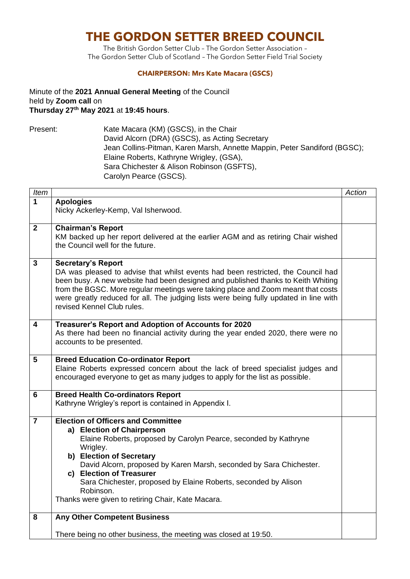# **THE GORDON SETTER BREED COUNCIL**

The British Gordon Setter Club – The Gordon Setter Association – The Gordon Setter Club of Scotland – The Gordon Setter Field Trial Society

#### **CHAIRPERSON: Mrs Kate Macara (GSCS)**

Minute of the **2021 Annual General Meeting** of the Council held by **Zoom call** on **Thursday 27th May 2021** at **19:45 hours**.

Present: Kate Macara (KM) (GSCS), in the Chair David Alcorn (DRA) (GSCS), as Acting Secretary Jean Collins-Pitman, Karen Marsh, Annette Mappin, Peter Sandiford (BGSC); Elaine Roberts, Kathryne Wrigley, (GSA), Sara Chichester & Alison Robinson (GSFTS), Carolyn Pearce (GSCS).

| Item                    |                                                                                                                       | <b>Action</b> |  |  |
|-------------------------|-----------------------------------------------------------------------------------------------------------------------|---------------|--|--|
| 1                       | <b>Apologies</b>                                                                                                      |               |  |  |
|                         | Nicky Ackerley-Kemp, Val Isherwood.                                                                                   |               |  |  |
|                         |                                                                                                                       |               |  |  |
| $\mathbf{2}$            | <b>Chairman's Report</b>                                                                                              |               |  |  |
|                         | KM backed up her report delivered at the earlier AGM and as retiring Chair wished<br>the Council well for the future. |               |  |  |
|                         |                                                                                                                       |               |  |  |
| $\mathbf{3}$            | <b>Secretary's Report</b>                                                                                             |               |  |  |
|                         | DA was pleased to advise that whilst events had been restricted, the Council had                                      |               |  |  |
|                         | been busy. A new website had been designed and published thanks to Keith Whiting                                      |               |  |  |
|                         | from the BGSC. More regular meetings were taking place and Zoom meant that costs                                      |               |  |  |
|                         | were greatly reduced for all. The judging lists were being fully updated in line with                                 |               |  |  |
|                         | revised Kennel Club rules.                                                                                            |               |  |  |
| $\overline{\mathbf{4}}$ | Treasurer's Report and Adoption of Accounts for 2020                                                                  |               |  |  |
|                         | As there had been no financial activity during the year ended 2020, there were no                                     |               |  |  |
|                         | accounts to be presented.                                                                                             |               |  |  |
|                         |                                                                                                                       |               |  |  |
| 5                       | <b>Breed Education Co-ordinator Report</b>                                                                            |               |  |  |
|                         | Elaine Roberts expressed concern about the lack of breed specialist judges and                                        |               |  |  |
|                         | encouraged everyone to get as many judges to apply for the list as possible.                                          |               |  |  |
| $6\phantom{1}6$         | <b>Breed Health Co-ordinators Report</b>                                                                              |               |  |  |
|                         | Kathryne Wrigley's report is contained in Appendix I.                                                                 |               |  |  |
|                         |                                                                                                                       |               |  |  |
| $\overline{7}$          | <b>Election of Officers and Committee</b>                                                                             |               |  |  |
|                         | a) Election of Chairperson                                                                                            |               |  |  |
|                         | Elaine Roberts, proposed by Carolyn Pearce, seconded by Kathryne                                                      |               |  |  |
|                         | Wrigley.                                                                                                              |               |  |  |
|                         | b) Election of Secretary                                                                                              |               |  |  |
|                         | David Alcorn, proposed by Karen Marsh, seconded by Sara Chichester.<br>c) Election of Treasurer                       |               |  |  |
|                         | Sara Chichester, proposed by Elaine Roberts, seconded by Alison                                                       |               |  |  |
|                         | Robinson.                                                                                                             |               |  |  |
|                         | Thanks were given to retiring Chair, Kate Macara.                                                                     |               |  |  |
|                         |                                                                                                                       |               |  |  |
| 8                       | <b>Any Other Competent Business</b>                                                                                   |               |  |  |
|                         |                                                                                                                       |               |  |  |
|                         | There being no other business, the meeting was closed at 19:50.                                                       |               |  |  |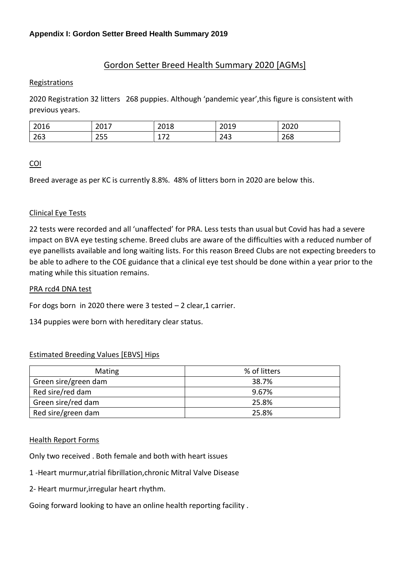# Gordon Setter Breed Health Summary 2020 [AGMs]

## Registrations

2020 Registration 32 litters 268 puppies. Although 'pandemic year',this figure is consistent with previous years.

| 2016 | 2017<br>ZUI,    | 2018                              | 2010<br>2013 | ากาก<br>ZUZU |
|------|-----------------|-----------------------------------|--------------|--------------|
| 263  | 200<br>-<br>ررے | $\overline{\phantom{a}}$<br>- 1 - | 243          | 268          |

# COI

Breed average as per KC is currently 8.8%. 48% of litters born in 2020 are below this.

# Clinical Eye Tests

22 tests were recorded and all 'unaffected' for PRA. Less tests than usual but Covid has had a severe impact on BVA eye testing scheme. Breed clubs are aware of the difficulties with a reduced number of eye panellists available and long waiting lists. For this reason Breed Clubs are not expecting breeders to be able to adhere to the COE guidance that a clinical eye test should be done within a year prior to the mating while this situation remains.

#### PRA rcd4 DNA test

For dogs born in 2020 there were  $3$  tested  $-2$  clear, 1 carrier.

134 puppies were born with hereditary clear status.

# Estimated Breeding Values [EBVS] Hips

| Mating               | % of litters |
|----------------------|--------------|
| Green sire/green dam | 38.7%        |
| Red sire/red dam     | 9.67%        |
| Green sire/red dam   | 25.8%        |
| Red sire/green dam   | 25.8%        |

#### Health Report Forms

Only two received . Both female and both with heart issues

- 1 -Heart murmur,atrial fibrillation,chronic Mitral Valve Disease
- 2- Heart murmur,irregular heart rhythm.

Going forward looking to have an online health reporting facility .